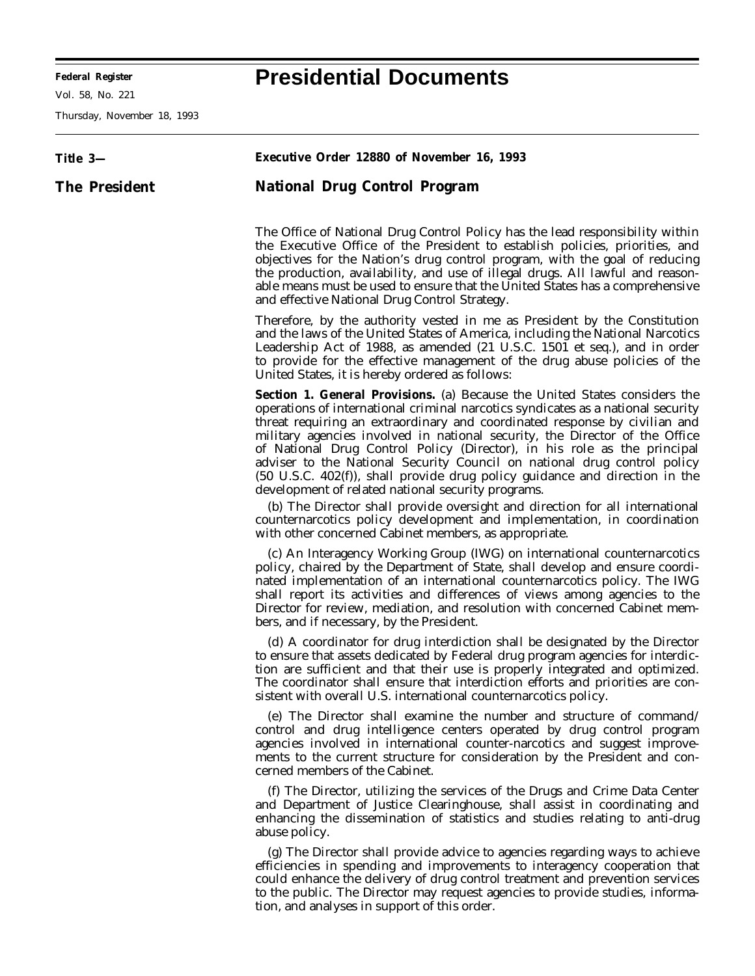Vol. 58, No. 221

Thursday, November 18, 1993

## **Title 3— The President Executive Order 12880 of November 16, 1993 National Drug Control Program** The Office of National Drug Control Policy has the lead responsibility within the Executive Office of the President to establish policies, priorities, and objectives for the Nation's drug control program, with the goal of reducing the production, availability, and use of illegal drugs. All lawful and reasonable means must be used to ensure that the United States has a comprehensive and effective National Drug Control Strategy. Therefore, by the authority vested in me as President by the Constitution and the laws of the United States of America, including the National Narcotics Leadership Act of 1988, as amended (21 U.S.C. 1501 *et seq.*), and in order to provide for the effective management of the drug abuse policies of the United States, it is hereby ordered as follows: **Section 1. General Provisions.** (a) Because the United States considers the operations of international criminal narcotics syndicates as a national security threat requiring an extraordinary and coordinated response by civilian and military agencies involved in national security, the Director of the Office of National Drug Control Policy (Director), in his role as the principal adviser to the National Security Council on national drug control policy (50 U.S.C. 402(f)), shall provide drug policy guidance and direction in the development of related national security programs. (b) The Director shall provide oversight and direction for all international counternarcotics policy development and implementation, in coordination with other concerned Cabinet members, as appropriate. (c) An Interagency Working Group (IWG) on international counternarcotics policy, chaired by the Department of State, shall develop and ensure coordinated implementation of an international counternarcotics policy. The IWG shall report its activities and differences of views among agencies to the Director for review, mediation, and resolution with concerned Cabinet members, and if necessary, by the President. (d) A coordinator for drug interdiction shall be designated by the Director to ensure that assets dedicated by Federal drug program agencies for interdiction are sufficient and that their use is properly integrated and optimized. The coordinator shall ensure that interdiction efforts and priorities are consistent with overall U.S. international counternarcotics policy. (e) The Director shall examine the number and structure of command/ control and drug intelligence centers operated by drug control program agencies involved in international counter-narcotics and suggest improvements to the current structure for consideration by the President and concerned members of the Cabinet. (f) The Director, utilizing the services of the Drugs and Crime Data Center and Department of Justice Clearinghouse, shall assist in coordinating and enhancing the dissemination of statistics and studies relating to anti-drug abuse policy. (g) The Director shall provide advice to agencies regarding ways to achieve efficiencies in spending and improvements to interagency cooperation that could enhance the delivery of drug control treatment and prevention services

tion, and analyses in support of this order.

to the public. The Director may request agencies to provide studies, informa-

## **Federal Register Presidential Documents**